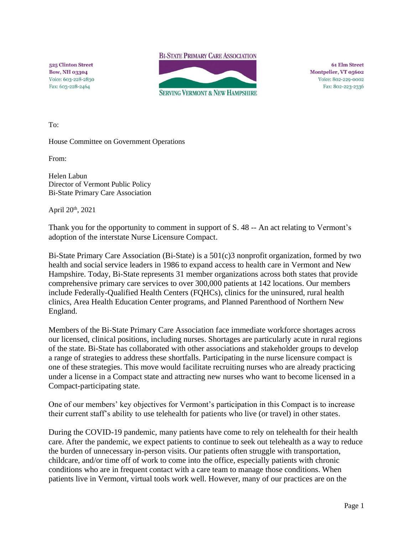**BI-STATE PRIMARY CARE ASSOCIATION** 

525 Clinton Street **Bow, NH 03304** Voice: 603-228-2830 Fax: 603-228-2464



**61 Elm Street** Montpelier, VT 05602 Voice: 802-229-0002 Fax: 802-223-2336

To:

House Committee on Government Operations

From:

Helen Labun Director of Vermont Public Policy Bi-State Primary Care Association

April 20th, 2021

Thank you for the opportunity to comment in support of S. 48 -- An act relating to Vermont's adoption of the interstate Nurse Licensure Compact.

Bi-State Primary Care Association (Bi-State) is a 501(c)3 nonprofit organization, formed by two health and social service leaders in 1986 to expand access to health care in Vermont and New Hampshire. Today, Bi-State represents 31 member organizations across both states that provide comprehensive primary care services to over 300,000 patients at 142 locations. Our members include Federally-Qualified Health Centers (FQHCs), clinics for the uninsured, rural health clinics, Area Health Education Center programs, and Planned Parenthood of Northern New England.

Members of the Bi-State Primary Care Association face immediate workforce shortages across our licensed, clinical positions, including nurses. Shortages are particularly acute in rural regions of the state. Bi-State has collaborated with other associations and stakeholder groups to develop a range of strategies to address these shortfalls. Participating in the nurse licensure compact is one of these strategies. This move would facilitate recruiting nurses who are already practicing under a license in a Compact state and attracting new nurses who want to become licensed in a Compact-participating state.

One of our members' key objectives for Vermont's participation in this Compact is to increase their current staff's ability to use telehealth for patients who live (or travel) in other states.

During the COVID-19 pandemic, many patients have come to rely on telehealth for their health care. After the pandemic, we expect patients to continue to seek out telehealth as a way to reduce the burden of unnecessary in-person visits. Our patients often struggle with transportation, childcare, and/or time off of work to come into the office, especially patients with chronic conditions who are in frequent contact with a care team to manage those conditions. When patients live in Vermont, virtual tools work well. However, many of our practices are on the